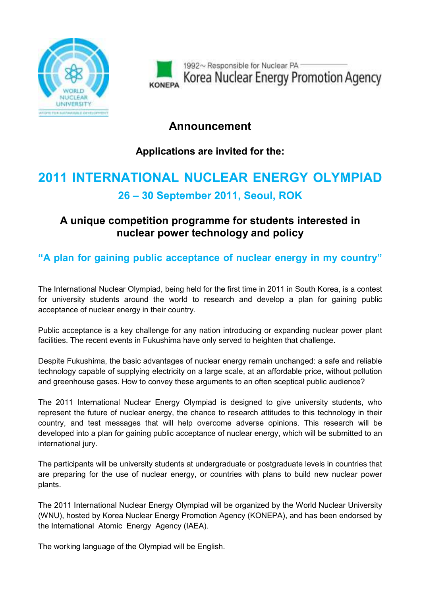

1992~ Responsible for Nuclear PA-Korea Nuclear Energy Promotion Agency

## Announcement

## Applications are invited for the:

## 2011 INTERNATIONAL NUCLEAR ENERGY OLYMPIAD 26 – 30 September 2011, Seoul, ROK

## A unique competition programme for students interested in nuclear power technology and policy

"A plan for gaining public acceptance of nuclear energy in my country"

The International Nuclear Olympiad, being held for the first time in 2011 in South Korea, is a contest for university students around the world to research and develop a plan for gaining public acceptance of nuclear energy in their country.

Public acceptance is a key challenge for any nation introducing or expanding nuclear power plant facilities. The recent events in Fukushima have only served to heighten that challenge.

Despite Fukushima, the basic advantages of nuclear energy remain unchanged: a safe and reliable technology capable of supplying electricity on a large scale, at an affordable price, without pollution and greenhouse gases. How to convey these arguments to an often sceptical public audience?

The 2011 International Nuclear Energy Olympiad is designed to give university students, who represent the future of nuclear energy, the chance to research attitudes to this technology in their country, and test messages that will help overcome adverse opinions. This research will be developed into a plan for gaining public acceptance of nuclear energy, which will be submitted to an international jury.

The participants will be university students at undergraduate or postgraduate levels in countries that are preparing for the use of nuclear energy, or countries with plans to build new nuclear power plants.

The 2011 International Nuclear Energy Olympiad will be organized by the World Nuclear University (WNU), hosted by Korea Nuclear Energy Promotion Agency (KONEPA), and has been endorsed by the International Atomic Energy Agency (IAEA).

The working language of the Olympiad will be English.